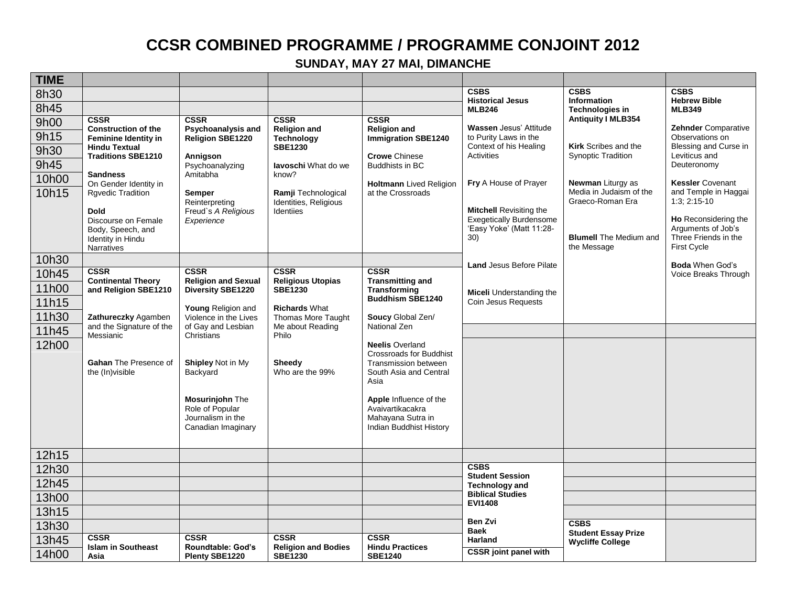## **CCSR COMBINED PROGRAMME / PROGRAMME CONJOINT 2012**

## **SUNDAY, MAY 27 MAI, DIMANCHE**

| <b>TIME</b> |                                                   |                                           |                                           |                                                        |                                           |                                                          |                                            |
|-------------|---------------------------------------------------|-------------------------------------------|-------------------------------------------|--------------------------------------------------------|-------------------------------------------|----------------------------------------------------------|--------------------------------------------|
| 8h30        |                                                   |                                           |                                           |                                                        | <b>CSBS</b><br><b>Historical Jesus</b>    | <b>CSBS</b><br><b>Information</b>                        | <b>CSBS</b><br><b>Hebrew Bible</b>         |
| 8h45        |                                                   |                                           |                                           |                                                        | <b>MLB246</b>                             | <b>Technologies in</b>                                   | <b>MLB349</b>                              |
| 9h00        | <b>CSSR</b><br><b>Construction of the</b>         | <b>CSSR</b><br>Psychoanalysis and         | <b>CSSR</b>                               | <b>CSSR</b><br><b>Religion and</b>                     | <b>Wassen Jesus' Attitude</b>             | <b>Antiquity I MLB354</b>                                | <b>Zehnder Comparative</b>                 |
| 9h15        | <b>Feminine Identity in</b>                       | <b>Religion SBE1220</b>                   | <b>Religion and</b><br><b>Technology</b>  | <b>Immigration SBE1240</b>                             | to Purity Laws in the                     |                                                          | Observations on                            |
| 9h30        | <b>Hindu Textual</b><br><b>Traditions SBE1210</b> |                                           | <b>SBE1230</b>                            | <b>Crowe Chinese</b>                                   | Context of his Healing<br>Activities      | <b>Kirk</b> Scribes and the<br><b>Synoptic Tradition</b> | Blessing and Curse in<br>Leviticus and     |
| 9h45        |                                                   | Annigson<br>Psychoanalyzing               | lavoschi What do we                       | <b>Buddhists in BC</b>                                 |                                           |                                                          | Deuteronomy                                |
| 10h00       | <b>Sandness</b><br>On Gender Identity in          | Amitabha                                  | know?                                     | <b>Holtmann</b> Lived Religion                         | Fry A House of Prayer                     | <b>Newman Liturgy as</b>                                 | <b>Kessler Covenant</b>                    |
| 10h15       | <b>Rgvedic Tradition</b>                          | <b>Semper</b>                             | Ramji Technological                       | at the Crossroads                                      |                                           | Media in Judaism of the                                  | and Temple in Haggai                       |
|             | <b>Dold</b>                                       | Reinterpreting<br>Freud's A Religious     | Identities, Religious<br><b>Identiies</b> |                                                        | <b>Mitchell Revisiting the</b>            | Graeco-Roman Era                                         | $1:3:2:15-10$                              |
|             | Discourse on Female                               | Experience                                |                                           |                                                        | <b>Exegetically Burdensome</b>            |                                                          | Ho Reconsidering the                       |
|             | Body, Speech, and<br>Identity in Hindu            |                                           |                                           |                                                        | 'Easy Yoke' (Matt 11:28-<br>30)           | <b>Blumell</b> The Medium and                            | Arguments of Job's<br>Three Friends in the |
|             | Narratives                                        |                                           |                                           |                                                        |                                           | the Message                                              | First Cycle                                |
| 10h30       |                                                   |                                           |                                           |                                                        | <b>Land Jesus Before Pilate</b>           |                                                          | <b>Boda</b> When God's                     |
| 10h45       | <b>CSSR</b><br><b>Continental Theory</b>          | <b>CSSR</b><br><b>Religion and Sexual</b> | <b>CSSR</b><br><b>Religious Utopias</b>   | <b>CSSR</b><br><b>Transmitting and</b>                 |                                           |                                                          | Voice Breaks Through                       |
| 11h00       | and Religion SBE1210                              | Diversity SBE1220                         | <b>SBE1230</b>                            | <b>Transforming</b>                                    | <b>Miceli</b> Understanding the           |                                                          |                                            |
| 11h15       |                                                   | Young Religion and                        | <b>Richards What</b>                      | <b>Buddhism SBE1240</b>                                | Coin Jesus Requests                       |                                                          |                                            |
| 11h30       | Zathureczky Agamben                               | Violence in the Lives                     | Thomas More Taught                        | Soucy Global Zen/                                      |                                           |                                                          |                                            |
| 11h45       | and the Signature of the<br>Messianic             | of Gay and Lesbian<br>Christians          | Me about Reading<br>Philo                 | National Zen                                           |                                           |                                                          |                                            |
| 12h00       |                                                   |                                           |                                           | <b>Neelis Overland</b>                                 |                                           |                                                          |                                            |
|             | Gahan The Presence of                             | <b>Shipley Not in My</b>                  | <b>Sheedy</b>                             | <b>Crossroads for Buddhist</b><br>Transmission between |                                           |                                                          |                                            |
|             | the (In) visible                                  | Backyard                                  | Who are the 99%                           | South Asia and Central                                 |                                           |                                                          |                                            |
|             |                                                   |                                           |                                           | Asia                                                   |                                           |                                                          |                                            |
|             |                                                   | Mosurinjohn The                           |                                           | Apple Influence of the                                 |                                           |                                                          |                                            |
|             |                                                   | Role of Popular<br>Journalism in the      |                                           | Avaivartikacakra<br>Mahayana Sutra in                  |                                           |                                                          |                                            |
|             |                                                   | Canadian Imaginary                        |                                           | Indian Buddhist History                                |                                           |                                                          |                                            |
|             |                                                   |                                           |                                           |                                                        |                                           |                                                          |                                            |
| 12h15       |                                                   |                                           |                                           |                                                        |                                           |                                                          |                                            |
| 12h30       |                                                   |                                           |                                           |                                                        | <b>CSBS</b><br><b>Student Session</b>     |                                                          |                                            |
| 12h45       |                                                   |                                           |                                           |                                                        | <b>Technology and</b>                     |                                                          |                                            |
| 13h00       |                                                   |                                           |                                           |                                                        | <b>Biblical Studies</b><br><b>EVI1408</b> |                                                          |                                            |
| 13h15       |                                                   |                                           |                                           |                                                        |                                           |                                                          |                                            |
| 13h30       |                                                   |                                           |                                           |                                                        | Ben Zvi<br><b>Baek</b>                    | <b>CSBS</b><br><b>Student Essay Prize</b>                |                                            |
| 3h45        | <b>CSSR</b><br><b>Islam in Southeast</b>          | <b>CSSR</b><br>Roundtable: God's          | <b>CSSR</b><br><b>Religion and Bodies</b> | <b>CSSR</b><br><b>Hindu Practices</b>                  | <b>Harland</b>                            | <b>Wycliffe College</b>                                  |                                            |
| 14h00       | Asia                                              | Plenty SBE1220                            | <b>SBE1230</b>                            | <b>SBE1240</b>                                         | <b>CSSR</b> joint panel with              |                                                          |                                            |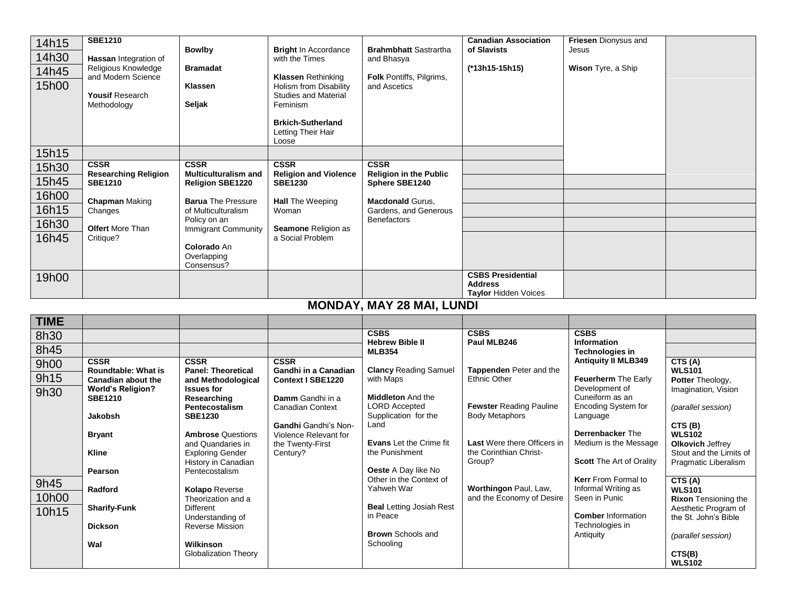| 14h15       | <b>SBE1210</b>                                   |                                                        |                                                       |                                                  | <b>Canadian Association</b>                | Friesen Dionysus and                             |                                              |
|-------------|--------------------------------------------------|--------------------------------------------------------|-------------------------------------------------------|--------------------------------------------------|--------------------------------------------|--------------------------------------------------|----------------------------------------------|
| 14h30       | Hassan Integration of                            | <b>Bowlby</b>                                          | <b>Bright In Accordance</b><br>with the Times         | <b>Brahmbhatt Sastrartha</b><br>and Bhasya       | of Slavists                                | Jesus                                            |                                              |
| 14h45       | Religious Knowledge                              | <b>Bramadat</b>                                        |                                                       |                                                  | (*13h15-15h15)                             | Wison Tyre, a Ship                               |                                              |
|             | and Modern Science                               |                                                        | <b>Klassen Rethinking</b>                             | Folk Pontiffs, Pilgrims,                         |                                            |                                                  |                                              |
| 15h00       | <b>Yousif Research</b>                           | <b>Klassen</b>                                         | Holism from Disability<br><b>Studies and Material</b> | and Ascetics                                     |                                            |                                                  |                                              |
|             | Methodology                                      | Seljak                                                 | Feminism                                              |                                                  |                                            |                                                  |                                              |
|             |                                                  |                                                        |                                                       |                                                  |                                            |                                                  |                                              |
|             |                                                  |                                                        | <b>Brkich-Sutherland</b><br>Letting Their Hair        |                                                  |                                            |                                                  |                                              |
|             |                                                  |                                                        | Loose                                                 |                                                  |                                            |                                                  |                                              |
| 15h15       |                                                  |                                                        |                                                       |                                                  |                                            |                                                  |                                              |
| 15h30       | <b>CSSR</b>                                      | <b>CSSR</b>                                            | <b>CSSR</b>                                           | <b>CSSR</b>                                      |                                            |                                                  |                                              |
| 15h45       | <b>Researching Religion</b><br><b>SBE1210</b>    | <b>Multiculturalism and</b><br><b>Religion SBE1220</b> | <b>Religion and Violence</b><br><b>SBE1230</b>        | <b>Religion in the Public</b><br>Sphere SBE1240  |                                            |                                                  |                                              |
| 16h00       |                                                  |                                                        |                                                       |                                                  |                                            |                                                  |                                              |
| 16h15       | <b>Chapman Making</b>                            | <b>Barua</b> The Pressure                              | <b>Hall</b> The Weeping                               | <b>Macdonald Gurus,</b>                          |                                            |                                                  |                                              |
|             | Changes                                          | of Multiculturalism<br>Policy on an                    | Woman                                                 | Gardens, and Generous<br><b>Benefactors</b>      |                                            |                                                  |                                              |
| 16h30       | <b>Olfert More Than</b>                          | Immigrant Community                                    | Seamone Religion as                                   |                                                  |                                            |                                                  |                                              |
| 16h45       | Critique?                                        | Colorado An                                            | a Social Problem                                      |                                                  |                                            |                                                  |                                              |
|             |                                                  | Overlapping                                            |                                                       |                                                  |                                            |                                                  |                                              |
|             |                                                  | Consensus?                                             |                                                       |                                                  |                                            |                                                  |                                              |
| 19h00       |                                                  |                                                        |                                                       |                                                  | <b>CSBS Presidential</b><br><b>Address</b> |                                                  |                                              |
|             |                                                  |                                                        |                                                       |                                                  | <b>Taylor Hidden Voices</b>                |                                                  |                                              |
|             |                                                  |                                                        |                                                       | <b>MONDAY, MAY 28 MAI, LUNDI</b>                 |                                            |                                                  |                                              |
| <b>TIME</b> |                                                  |                                                        |                                                       |                                                  |                                            |                                                  |                                              |
|             |                                                  |                                                        |                                                       |                                                  |                                            |                                                  |                                              |
|             |                                                  |                                                        |                                                       | <b>CSBS</b>                                      | <b>CSBS</b>                                |                                                  |                                              |
| 8h30        |                                                  |                                                        |                                                       | <b>Hebrew Bible II</b>                           | Paul MLB246                                | <b>CSBS</b><br>Information                       |                                              |
| 8h45        |                                                  |                                                        |                                                       | <b>MLB354</b>                                    |                                            | <b>Technologies in</b>                           |                                              |
| 9h00        | <b>CSSR</b>                                      | <b>CSSR</b>                                            | <b>CSSR</b>                                           |                                                  | Tappenden Peter and the                    | <b>Antiquity II MLB349</b>                       | CTS(A)                                       |
| 9h15        | Roundtable: What is<br><b>Canadian about the</b> | <b>Panel: Theoretical</b><br>and Methodological        | Gandhi in a Canadian<br><b>Context I SBE1220</b>      | <b>Clancy Reading Samuel</b><br>with Maps        | <b>Ethnic Other</b>                        | Feuerherm The Early                              | <b>WLS101</b><br>Potter Theology,            |
| 9h30        | <b>World's Religion?</b>                         | <b>Issues for</b>                                      |                                                       |                                                  |                                            | Development of                                   | Imagination, Vision                          |
|             | <b>SBE1210</b>                                   | Researching<br>Pentecostalism                          | Damm Gandhi in a<br><b>Canadian Context</b>           | <b>Middleton And the</b><br><b>LORD Accepted</b> | <b>Fewster Reading Pauline</b>             | Cuneiform as an<br>Encoding System for           | (parallel session)                           |
|             | Jakobsh                                          | <b>SBE1230</b>                                         |                                                       | Supplication for the                             | <b>Body Metaphors</b>                      | Language                                         |                                              |
|             |                                                  |                                                        | <b>Gandhi</b> Gandhi's Non-                           | Land                                             |                                            |                                                  | CTS(B)                                       |
|             | <b>Bryant</b>                                    | <b>Ambrose Questions</b><br>and Quandaries in          | Violence Relevant for<br>the Twenty-First             | <b>Evans</b> Let the Crime fit                   | Last Were there Officers in                | <b>Derrenbacker The</b><br>Medium is the Message | WLS102<br>Olkovich Jeffrey                   |
|             | <b>Kline</b>                                     | <b>Exploring Gender</b>                                | Century?                                              | the Punishment                                   | the Corinthian Christ-                     |                                                  | Stout and the Limits of                      |
|             |                                                  | History in Canadian                                    |                                                       |                                                  | Group?                                     | <b>Scott The Art of Orality</b>                  | Pragmatic Liberalism                         |
|             | Pearson                                          | Pentecostalism                                         |                                                       | Oeste A Day like No<br>Other in the Context of   |                                            | Kerr From Formal to                              | CTS(A)                                       |
| 9h45        | Radford                                          | <b>Kolapo Reverse</b>                                  |                                                       | Yahweh War                                       | Worthingon Paul, Law,                      | Informal Writing as                              | <b>WLS101</b>                                |
| 10h00       |                                                  | Theorization and a<br><b>Different</b>                 |                                                       | <b>Beal Letting Josiah Rest</b>                  | and the Economy of Desire                  | Seen in Punic                                    | <b>Rixon Tensioning the</b>                  |
| 10h15       | <b>Sharify-Funk</b>                              | Understanding of                                       |                                                       | in Peace                                         |                                            | <b>Comber Information</b>                        | Aesthetic Program of<br>the St. John's Bible |
|             | <b>Dickson</b>                                   | <b>Reverse Mission</b>                                 |                                                       | <b>Brown</b> Schools and                         |                                            | Technologies in<br>Antiquity                     | (parallel session)                           |

**CTS(B) WLS102**

Globalization Theory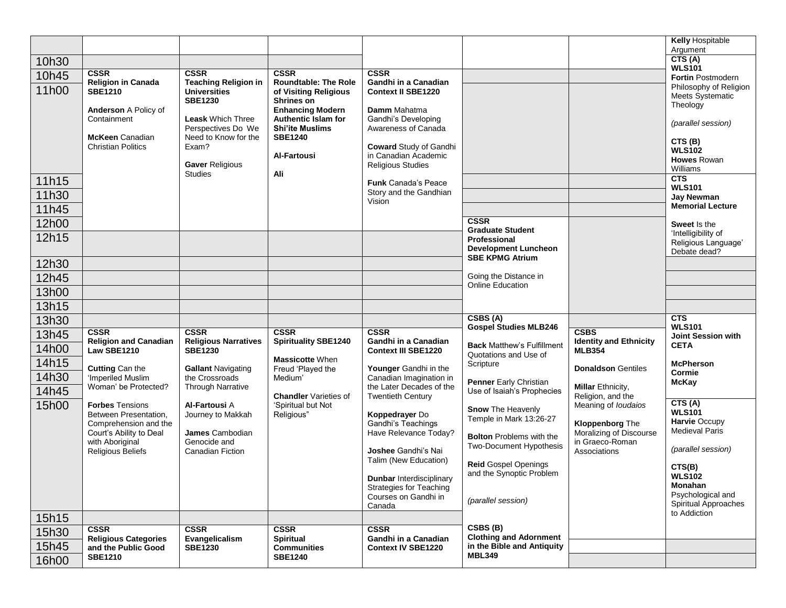|       |                                                |                                                    |                                                       |                                                        |                                                            |                                              | <b>Kelly Hospitable</b><br>Argument          |
|-------|------------------------------------------------|----------------------------------------------------|-------------------------------------------------------|--------------------------------------------------------|------------------------------------------------------------|----------------------------------------------|----------------------------------------------|
| 10h30 |                                                |                                                    |                                                       |                                                        |                                                            |                                              | CTS(A)                                       |
| 10h45 | <b>CSSR</b>                                    | <b>CSSR</b>                                        | <b>CSSR</b>                                           | <b>CSSR</b>                                            |                                                            |                                              | <b>WLS101</b><br><b>Fortin Postmodern</b>    |
| 11h00 | <b>Religion in Canada</b><br><b>SBE1210</b>    | <b>Teaching Religion in</b><br><b>Universities</b> | <b>Roundtable: The Role</b><br>of Visiting Religious  | Gandhi in a Canadian<br><b>Context II SBE1220</b>      |                                                            |                                              | Philosophy of Religion                       |
|       |                                                | <b>SBE1230</b>                                     | <b>Shrines on</b>                                     |                                                        |                                                            |                                              | <b>Meets Systematic</b><br>Theology          |
|       | Anderson A Policy of<br>Containment            | <b>Leask Which Three</b>                           | <b>Enhancing Modern</b><br><b>Authentic Islam for</b> | Damm Mahatma<br>Gandhi's Developing                    |                                                            |                                              | (parallel session)                           |
|       | <b>McKeen Canadian</b>                         | Perspectives Do We<br>Need to Know for the         | <b>Shi'ite Muslims</b><br><b>SBE1240</b>              | Awareness of Canada                                    |                                                            |                                              |                                              |
|       | <b>Christian Politics</b>                      | Exam?                                              |                                                       | <b>Coward Study of Gandhi</b>                          |                                                            |                                              | CTS(B)<br><b>WLS102</b>                      |
|       |                                                | Gaver Religious                                    | <b>Al-Fartousi</b>                                    | in Canadian Academic<br><b>Religious Studies</b>       |                                                            |                                              | <b>Howes Rowan</b>                           |
| 11h15 |                                                | <b>Studies</b>                                     | Ali                                                   |                                                        |                                                            |                                              | Williams<br>CTS                              |
| 11h30 |                                                |                                                    |                                                       | <b>Funk Canada's Peace</b><br>Story and the Gandhian   |                                                            |                                              | <b>WLS101</b>                                |
| 11h45 |                                                |                                                    |                                                       | Vision                                                 |                                                            |                                              | <b>Jay Newman</b><br><b>Memorial Lecture</b> |
| 12h00 |                                                |                                                    |                                                       |                                                        | <b>CSSR</b>                                                |                                              | Sweet Is the                                 |
| 12h15 |                                                |                                                    |                                                       |                                                        | <b>Graduate Student</b><br>Professional                    |                                              | 'Intelligibility of                          |
|       |                                                |                                                    |                                                       |                                                        | <b>Development Luncheon</b>                                |                                              | Religious Language'<br>Debate dead?          |
| 12h30 |                                                |                                                    |                                                       |                                                        | <b>SBE KPMG Atrium</b>                                     |                                              |                                              |
| 12h45 |                                                |                                                    |                                                       |                                                        | Going the Distance in<br>Online Education                  |                                              |                                              |
| 13h00 |                                                |                                                    |                                                       |                                                        |                                                            |                                              |                                              |
| 13h15 |                                                |                                                    |                                                       |                                                        |                                                            |                                              |                                              |
| 13h30 |                                                |                                                    |                                                       |                                                        | CSBS(A)<br><b>Gospel Studies MLB246</b>                    |                                              | CTS<br><b>WLS101</b>                         |
| 13h45 | <b>CSSR</b><br><b>Religion and Canadian</b>    | <b>CSSR</b><br><b>Religious Narratives</b>         | <b>CSSR</b><br><b>Spirituality SBE1240</b>            | <b>CSSR</b><br>Gandhi in a Canadian                    |                                                            | <b>CSBS</b><br><b>Identity and Ethnicity</b> | Joint Session with                           |
| 14h00 | Law SBE1210                                    | <b>SBE1230</b>                                     |                                                       | <b>Context III SBE1220</b>                             | <b>Back Matthew's Fulfillment</b><br>Quotations and Use of | <b>MLB354</b>                                | <b>CETA</b>                                  |
| 14h15 | <b>Cutting Can the</b>                         | <b>Gallant Navigating</b>                          | <b>Massicotte When</b><br>Freud 'Played the           | Younger Gandhi in the                                  | Scripture                                                  | <b>Donaldson Gentiles</b>                    | <b>McPherson</b>                             |
| 14h30 | 'Imperiled Muslim                              | the Crossroads                                     | Medium'                                               | Canadian Imagination in                                | Penner Early Christian                                     |                                              | Cormie<br><b>McKay</b>                       |
| 14h45 | Woman' be Protected?                           | <b>Through Narrative</b>                           | <b>Chandler</b> Varieties of                          | the Later Decades of the<br><b>Twentieth Century</b>   | Use of Isaiah's Prophecies                                 | Millar Ethnicity,<br>Religion, and the       |                                              |
| 15h00 | <b>Forbes</b> Tensions                         | <b>Al-Fartousi A</b>                               | 'Spiritual but Not                                    |                                                        | <b>Snow The Heavenly</b>                                   | Meaning of <i>loudaios</i>                   | CTS(A)<br><b>WLS101</b>                      |
|       | Between Presentation,<br>Comprehension and the | Journey to Makkah                                  | Religious"                                            | Koppedrayer Do<br>Gandhi's Teachings                   | Temple in Mark 13:26-27                                    | <b>Kloppenborg The</b>                       | <b>Harvie Occupy</b>                         |
|       | Court's Ability to Deal<br>with Aboriginal     | James Cambodian<br>Genocide and                    |                                                       | Have Relevance Today?                                  | <b>Bolton</b> Problems with the                            | Moralizing of Discourse<br>in Graeco-Roman   | <b>Medieval Paris</b>                        |
|       | Religious Beliefs                              | <b>Canadian Fiction</b>                            |                                                       | Joshee Gandhi's Nai                                    | <b>Two-Document Hypothesis</b>                             | Associations                                 | (parallel session)                           |
|       |                                                |                                                    |                                                       | Talim (New Education)                                  | <b>Reid Gospel Openings</b>                                |                                              | CTS(B)                                       |
|       |                                                |                                                    |                                                       | <b>Dunbar Interdisciplinary</b>                        | and the Synoptic Problem                                   |                                              | <b>WLS102</b><br><b>Monahan</b>              |
|       |                                                |                                                    |                                                       | <b>Strategies for Teaching</b><br>Courses on Gandhi in |                                                            |                                              | Psychological and                            |
|       |                                                |                                                    |                                                       | Canada                                                 | (parallel session)                                         |                                              | Spiritual Approaches<br>to Addiction         |
| 15h15 |                                                |                                                    |                                                       |                                                        | CSBS (B)                                                   |                                              |                                              |
| 15h30 | <b>CSSR</b><br><b>Religious Categories</b>     | <b>CSSR</b><br>Evangelicalism                      | <b>CSSR</b><br><b>Spiritual</b>                       | <b>CSSR</b><br><b>Gandhi in a Canadian</b>             | <b>Clothing and Adornment</b>                              |                                              |                                              |
| 15h45 | and the Public Good<br><b>SBE1210</b>          | <b>SBE1230</b>                                     | <b>Communities</b><br><b>SBE1240</b>                  | <b>Context IV SBE1220</b>                              | in the Bible and Antiquity<br><b>MBL349</b>                |                                              |                                              |
| 16h00 |                                                |                                                    |                                                       |                                                        |                                                            |                                              |                                              |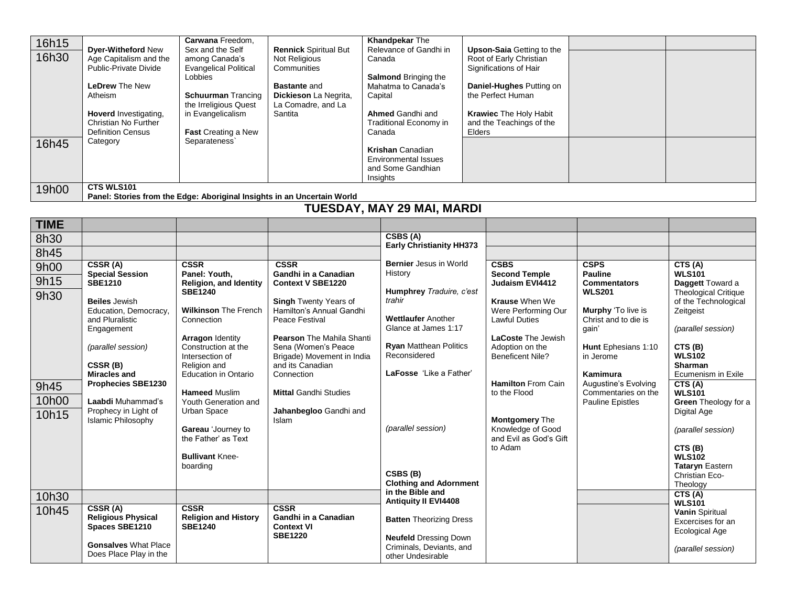| 16h15 |                           | Carwana Freedom,             |                                                                         | <b>Khandpekar The</b>             |                                  |  |
|-------|---------------------------|------------------------------|-------------------------------------------------------------------------|-----------------------------------|----------------------------------|--|
| 16h30 | <b>Dyer-Witheford New</b> | Sex and the Self             | <b>Rennick Spiritual But</b>                                            | Relevance of Gandhi in            | <b>Upson-Saia Getting to the</b> |  |
|       | Age Capitalism and the    | among Canada's               | Not Religious                                                           | Canada                            | Root of Early Christian          |  |
|       | Public-Private Divide     | <b>Evangelical Political</b> | Communities                                                             |                                   | Significations of Hair           |  |
|       | <b>LeDrew</b> The New     | Lobbies                      |                                                                         | <b>Salmond Bringing the</b>       |                                  |  |
|       |                           |                              | <b>Bastante and</b>                                                     | Mahatma to Canada's               | Daniel-Hughes Putting on         |  |
|       | Atheism                   | <b>Schuurman Trancing</b>    | Dickieson La Negrita,                                                   | Capital                           | the Perfect Human                |  |
|       |                           | the Irreligious Quest        | La Comadre, and La                                                      |                                   |                                  |  |
|       | Hoverd Investigating,     | in Evangelicalism            | Santita                                                                 | <b>Ahmed Gandhi and</b>           | <b>Krawiec The Holy Habit</b>    |  |
|       | Christian No Further      |                              |                                                                         | Traditional Economy in            | and the Teachings of the         |  |
|       | <b>Definition Census</b>  | <b>Fast Creating a New</b>   |                                                                         | Canada                            | Elders                           |  |
| 16h45 | Category                  | Separateness`                |                                                                         |                                   |                                  |  |
|       |                           |                              |                                                                         | <b>Krishan Canadian</b>           |                                  |  |
|       |                           |                              |                                                                         | Environmental Issues              |                                  |  |
|       |                           |                              |                                                                         | and Some Gandhian                 |                                  |  |
|       |                           |                              |                                                                         | Insights                          |                                  |  |
| 19h00 | <b>CTS WLS101</b>         |                              |                                                                         |                                   |                                  |  |
|       |                           |                              | Panel: Stories from the Edge: Aboriginal Insights in an Uncertain World |                                   |                                  |  |
|       |                           |                              |                                                                         | <b>TUESDAY, MAY 29 MAI, MARDI</b> |                                  |  |
|       |                           |                              |                                                                         |                                   |                                  |  |

| <b>TIME</b> |                                                   |                                                |                                                   |                                                          |                                             |                                            |                                             |
|-------------|---------------------------------------------------|------------------------------------------------|---------------------------------------------------|----------------------------------------------------------|---------------------------------------------|--------------------------------------------|---------------------------------------------|
| 8h30        |                                                   |                                                |                                                   | CSBS (A)                                                 |                                             |                                            |                                             |
| 8h45        |                                                   |                                                |                                                   | <b>Early Christianity HH373</b>                          |                                             |                                            |                                             |
| 9h00        | CSSR (A)                                          | <b>CSSR</b>                                    | <b>CSSR</b>                                       | <b>Bernier</b> Jesus in World                            | <b>CSBS</b>                                 | <b>CSPS</b>                                | CTS(A)                                      |
| 9h15        | <b>Special Session</b><br><b>SBE1210</b>          | Panel: Youth,<br><b>Religion, and Identity</b> | Gandhi in a Canadian<br><b>Context V SBE1220</b>  | History                                                  | <b>Second Temple</b><br>Judaism EVI4412     | <b>Pauline</b><br><b>Commentators</b>      | <b>WLS101</b><br>Daggett Toward a           |
| 9h30        |                                                   | <b>SBE1240</b>                                 |                                                   | Humphrey Traduire, c'est                                 |                                             | <b>WLS201</b>                              | <b>Theological Critique</b>                 |
|             | <b>Beiles</b> Jewish                              |                                                | <b>Singh Twenty Years of</b>                      | trahir                                                   | <b>Krause When We</b>                       |                                            | of the Technological                        |
|             | Education, Democracy,<br>and Pluralistic          | <b>Wilkinson The French</b><br>Connection      | Hamilton's Annual Gandhi<br>Peace Festival        | <b>Wettlaufer Another</b>                                | Were Performing Our<br><b>Lawful Duties</b> | Murphy 'To live is<br>Christ and to die is | Zeitgeist                                   |
|             | Engagement                                        |                                                |                                                   | Glance at James 1:17                                     |                                             | gain'                                      | (parallel session)                          |
|             |                                                   | <b>Arragon Identity</b><br>Construction at the | <b>Pearson The Mahila Shanti</b>                  | <b>Ryan Matthean Politics</b>                            | <b>LaCoste The Jewish</b>                   |                                            |                                             |
|             | (parallel session)                                | Intersection of                                | Sena (Women's Peace<br>Brigade) Movement in India | Reconsidered                                             | Adoption on the<br><b>Beneficent Nile?</b>  | Hunt Ephesians 1:10<br>in Jerome           | CTS(B)<br><b>WLS102</b>                     |
|             | CSSR(B)                                           | Religion and                                   | and its Canadian                                  |                                                          |                                             |                                            | <b>Sharman</b>                              |
|             | <b>Miracles and</b><br><b>Prophecies SBE1230</b>  | <b>Education in Ontario</b>                    | Connection                                        | LaFosse 'Like a Father'                                  | <b>Hamilton From Cain</b>                   | Kamimura<br>Augustine's Evolving           | Ecumenism in Exile<br>CTS(A)                |
| 9h45        |                                                   | <b>Hameed Muslim</b>                           | <b>Mittal Gandhi Studies</b>                      |                                                          | to the Flood                                | Commentaries on the                        | <b>WLS101</b>                               |
| 10h00       | Laabdi Muhammad's                                 | Youth Generation and                           |                                                   |                                                          |                                             | <b>Pauline Epistles</b>                    | <b>Green</b> Theology for a                 |
| 10h15       | Prophecy in Light of<br><b>Islamic Philosophy</b> | Urban Space                                    | Jahanbegloo Gandhi and<br><b>Islam</b>            |                                                          | <b>Montgomery The</b>                       |                                            | Digital Age                                 |
|             |                                                   | Gareau 'Journey to                             |                                                   | (parallel session)                                       | Knowledge of Good                           |                                            | (parallel session)                          |
|             |                                                   | the Father' as Text                            |                                                   |                                                          | and Evil as God's Gift                      |                                            |                                             |
|             |                                                   | <b>Bullivant Knee-</b>                         |                                                   |                                                          | to Adam                                     |                                            | CTS (B)<br><b>WLS102</b>                    |
|             |                                                   | boarding                                       |                                                   |                                                          |                                             |                                            | <b>Tataryn Eastern</b>                      |
|             |                                                   |                                                |                                                   | CSBS(B)<br><b>Clothing and Adornment</b>                 |                                             |                                            | Christian Eco-<br>Theology                  |
| 10h30       |                                                   |                                                |                                                   | in the Bible and                                         |                                             |                                            | CTS (A)                                     |
|             | CSSR (A)                                          | <b>CSSR</b>                                    | <b>CSSR</b>                                       | <b>Antiquity II EVI4408</b>                              |                                             |                                            | <b>WLS101</b>                               |
| 10h45       | <b>Religious Physical</b>                         | <b>Religion and History</b>                    | Gandhi in a Canadian                              | <b>Batten Theorizing Dress</b>                           |                                             |                                            | <b>Vanin Spiritual</b><br>Excercises for an |
|             | Spaces SBE1210                                    | <b>SBE1240</b>                                 | <b>Context VI</b><br><b>SBE1220</b>               |                                                          |                                             |                                            | <b>Ecological Age</b>                       |
|             | <b>Gonsalves What Place</b>                       |                                                |                                                   | <b>Neufeld Dressing Down</b><br>Criminals, Deviants, and |                                             |                                            |                                             |
|             | Does Place Play in the                            |                                                |                                                   | other Undesirable                                        |                                             |                                            | (parallel session)                          |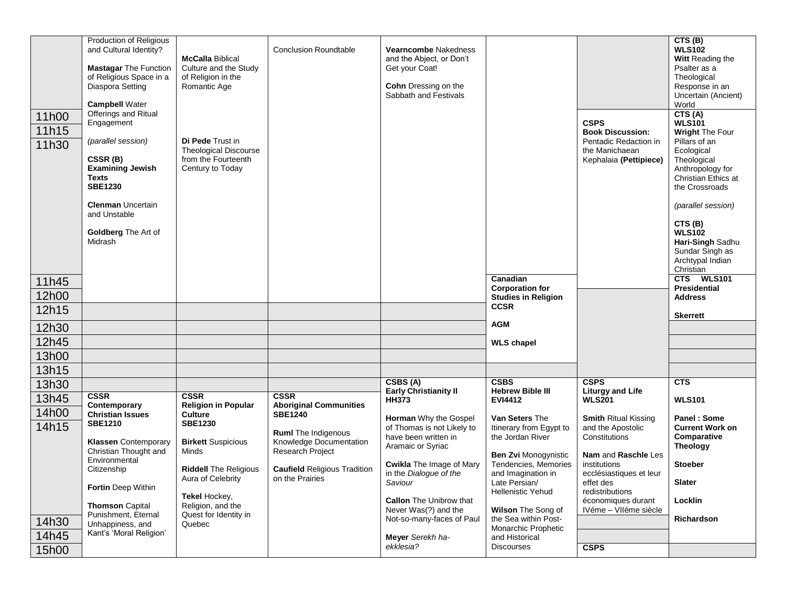|       | <b>Production of Religious</b><br>and Cultural Identity? |                                                   | <b>Conclusion Roundtable</b>        | Vearncombe Nakedness            |                             |                                       | CTS (B)<br><b>WLS102</b>          |
|-------|----------------------------------------------------------|---------------------------------------------------|-------------------------------------|---------------------------------|-----------------------------|---------------------------------------|-----------------------------------|
|       |                                                          | <b>McCalla Biblical</b>                           |                                     | and the Abject, or Don't        |                             |                                       | <b>Witt Reading the</b>           |
|       | <b>Mastagar The Function</b>                             | Culture and the Study                             |                                     | Get your Coat!                  |                             |                                       | Psalter as a                      |
|       | of Religious Space in a                                  | of Religion in the                                |                                     |                                 |                             |                                       | Theological                       |
|       | Diaspora Setting                                         | Romantic Age                                      |                                     | <b>Cohn</b> Dressing on the     |                             |                                       | Response in an                    |
|       |                                                          |                                                   |                                     | Sabbath and Festivals           |                             |                                       | Uncertain (Ancient)               |
|       | <b>Campbell Water</b><br>Offerings and Ritual            |                                                   |                                     |                                 |                             |                                       | World<br>CTS(A)                   |
| 11h00 | Engagement                                               |                                                   |                                     |                                 |                             | <b>CSPS</b>                           | <b>WLS101</b>                     |
| 11h15 |                                                          |                                                   |                                     |                                 |                             | <b>Book Discussion:</b>               | <b>Wright The Four</b>            |
| 11h30 | (parallel session)                                       | <b>Di Pede Trust in</b>                           |                                     |                                 |                             | Pentadic Redaction in                 | Pillars of an                     |
|       |                                                          | <b>Theological Discourse</b>                      |                                     |                                 |                             | the Manichaean                        | Ecological                        |
|       | CSSR(B)<br><b>Examining Jewish</b>                       | from the Fourteenth<br>Century to Today           |                                     |                                 |                             | Kephalaia (Pettipiece)                | Theological<br>Anthropology for   |
|       | Texts                                                    |                                                   |                                     |                                 |                             |                                       | Christian Ethics at               |
|       | <b>SBE1230</b>                                           |                                                   |                                     |                                 |                             |                                       | the Crossroads                    |
|       |                                                          |                                                   |                                     |                                 |                             |                                       |                                   |
|       | <b>Clenman Uncertain</b>                                 |                                                   |                                     |                                 |                             |                                       | (parallel session)                |
|       | and Unstable                                             |                                                   |                                     |                                 |                             |                                       | CTS (B)                           |
|       | Goldberg The Art of                                      |                                                   |                                     |                                 |                             |                                       | <b>WLS102</b>                     |
|       | Midrash                                                  |                                                   |                                     |                                 |                             |                                       | Hari-Singh Sadhu                  |
|       |                                                          |                                                   |                                     |                                 |                             |                                       | Sundar Singh as                   |
|       |                                                          |                                                   |                                     |                                 |                             |                                       | Archtypal Indian                  |
|       |                                                          |                                                   |                                     |                                 | Canadian                    |                                       | Christian<br>CTS<br><b>WLS101</b> |
| 11h45 |                                                          |                                                   |                                     |                                 | <b>Corporation for</b>      |                                       | <b>Presidential</b>               |
| 12h00 |                                                          |                                                   |                                     |                                 | <b>Studies in Religion</b>  |                                       | <b>Address</b>                    |
| 12h15 |                                                          |                                                   |                                     |                                 | <b>CCSR</b>                 |                                       | <b>Skerrett</b>                   |
| 12h30 |                                                          |                                                   |                                     |                                 | <b>AGM</b>                  |                                       |                                   |
| 12h45 |                                                          |                                                   |                                     |                                 | <b>WLS</b> chapel           |                                       |                                   |
| 13h00 |                                                          |                                                   |                                     |                                 |                             |                                       |                                   |
| 13h15 |                                                          |                                                   |                                     |                                 |                             |                                       |                                   |
| 13h30 |                                                          |                                                   |                                     | $\overline{CSBS(A)}$            | <b>CSBS</b>                 | <b>CSPS</b>                           | CTS                               |
|       | <b>CSSR</b>                                              | <b>CSSR</b>                                       | <b>CSSR</b>                         | <b>Early Christianity II</b>    | <b>Hebrew Bible III</b>     | <b>Liturgy and Life</b>               |                                   |
| 13h45 | Contemporary                                             | <b>Religion in Popular</b>                        | <b>Aboriginal Communities</b>       | <b>HH373</b>                    | <b>EVI4412</b>              | <b>WLS201</b>                         | <b>WLS101</b>                     |
| 14h00 | <b>Christian Issues</b>                                  | <b>Culture</b>                                    | <b>SBE1240</b>                      | <b>Horman</b> Why the Gospel    | Van Seters The              | <b>Smith Ritual Kissing</b>           | <b>Panel: Some</b>                |
| 14h15 | <b>SBE1210</b>                                           | <b>SBE1230</b>                                    | <b>Ruml</b> The Indigenous          | of Thomas is not Likely to      | Itinerary from Egypt to     | and the Apostolic                     | <b>Current Work on</b>            |
|       | <b>Klassen</b> Contemporary                              | <b>Birkett Suspicious</b>                         | Knowledge Documentation             | have been written in            | the Jordan River            | Constitutions                         | Comparative                       |
|       | Christian Thought and                                    | Minds                                             | Research Project                    | Aramaic or Syriac               | <b>Ben Zvi Monogynistic</b> | Nam and Raschle Les                   | <b>Theology</b>                   |
|       | Environmental                                            |                                                   |                                     | <b>Cwikla</b> The Image of Mary | Tendencies, Memories        | institutions                          | <b>Stoeber</b>                    |
|       | Citizenship                                              | <b>Riddell The Religious</b><br>Aura of Celebrity | <b>Caufield Religious Tradition</b> | in the Dialogue of the          | and Imagination in          | ecclésiastiques et leur               |                                   |
|       | Fortin Deep Within                                       |                                                   | on the Prairies                     | Saviour                         | Late Persian/               | effet des                             | <b>Slater</b>                     |
|       |                                                          | Tekel Hockey,                                     |                                     | <b>Callon</b> The Unibrow that  | <b>Hellenistic Yehud</b>    | redistributions<br>économiques durant | Locklin                           |
|       | <b>Thomson Capital</b>                                   | Religion, and the                                 |                                     | Never Was(?) and the            | Wilson The Song of          | IVéme - VIIéme siècle                 |                                   |
| 14h30 | Punishment, Eternal                                      | Quest for Identity in                             |                                     | Not-so-many-faces of Paul       | the Sea within Post-        |                                       | Richardson                        |
|       | Unhappiness, and<br>Kant's 'Moral Religion'              | Quebec                                            |                                     |                                 | Monarchic Prophetic         |                                       |                                   |
| 14h45 |                                                          |                                                   |                                     | Meyer Serekh ha-<br>ekklesia?   | and Historical              |                                       |                                   |
| 15h00 |                                                          |                                                   |                                     |                                 | <b>Discourses</b>           | <b>CSPS</b>                           |                                   |